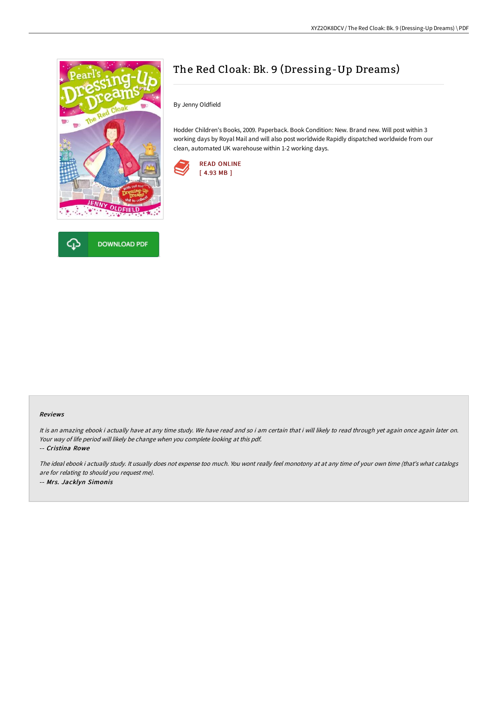



# The Red Cloak: Bk. 9 (Dressing-Up Dreams)

By Jenny Oldfield

Hodder Children's Books, 2009. Paperback. Book Condition: New. Brand new. Will post within 3 working days by Royal Mail and will also post worldwide Rapidly dispatched worldwide from our clean, automated UK warehouse within 1-2 working days.



#### Reviews

It is an amazing ebook i actually have at any time study. We have read and so i am certain that i will likely to read through yet again once again later on. Your way of life period will likely be change when you complete looking at this pdf.

-- Cristina Rowe

The ideal ebook i actually study. It usually does not expense too much. You wont really feel monotony at at any time of your own time (that's what catalogs are for relating to should you request me). -- Mrs. Jacklyn Simonis